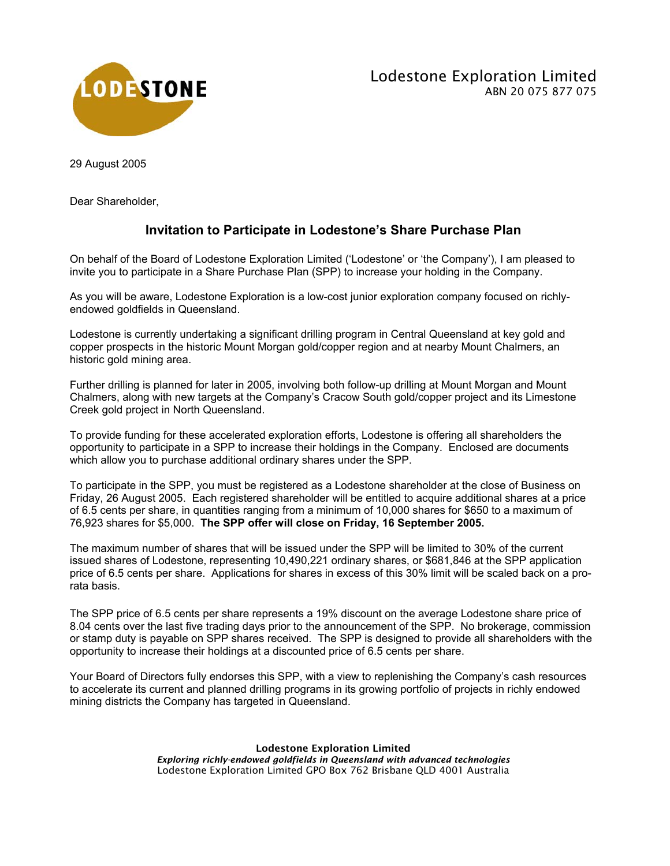

29 August 2005

Dear Shareholder,

## **Invitation to Participate in Lodestone's Share Purchase Plan**

On behalf of the Board of Lodestone Exploration Limited ('Lodestone' or 'the Company'), I am pleased to invite you to participate in a Share Purchase Plan (SPP) to increase your holding in the Company.

As you will be aware, Lodestone Exploration is a low-cost junior exploration company focused on richlyendowed goldfields in Queensland.

Lodestone is currently undertaking a significant drilling program in Central Queensland at key gold and copper prospects in the historic Mount Morgan gold/copper region and at nearby Mount Chalmers, an historic gold mining area.

Further drilling is planned for later in 2005, involving both follow-up drilling at Mount Morgan and Mount Chalmers, along with new targets at the Company's Cracow South gold/copper project and its Limestone Creek gold project in North Queensland.

To provide funding for these accelerated exploration efforts, Lodestone is offering all shareholders the opportunity to participate in a SPP to increase their holdings in the Company. Enclosed are documents which allow you to purchase additional ordinary shares under the SPP.

To participate in the SPP, you must be registered as a Lodestone shareholder at the close of Business on Friday, 26 August 2005. Each registered shareholder will be entitled to acquire additional shares at a price of 6.5 cents per share, in quantities ranging from a minimum of 10,000 shares for \$650 to a maximum of 76,923 shares for \$5,000. **The SPP offer will close on Friday, 16 September 2005.**

The maximum number of shares that will be issued under the SPP will be limited to 30% of the current issued shares of Lodestone, representing 10,490,221 ordinary shares, or \$681,846 at the SPP application price of 6.5 cents per share. Applications for shares in excess of this 30% limit will be scaled back on a prorata basis.

The SPP price of 6.5 cents per share represents a 19% discount on the average Lodestone share price of 8.04 cents over the last five trading days prior to the announcement of the SPP. No brokerage, commission or stamp duty is payable on SPP shares received. The SPP is designed to provide all shareholders with the opportunity to increase their holdings at a discounted price of 6.5 cents per share.

Your Board of Directors fully endorses this SPP, with a view to replenishing the Company's cash resources to accelerate its current and planned drilling programs in its growing portfolio of projects in richly endowed mining districts the Company has targeted in Queensland.

> Lodestone Exploration Limited *Exploring richly-endowed goldfields in Queensland with advanced technologies* Lodestone Exploration Limited GPO Box 762 Brisbane QLD 4001 Australia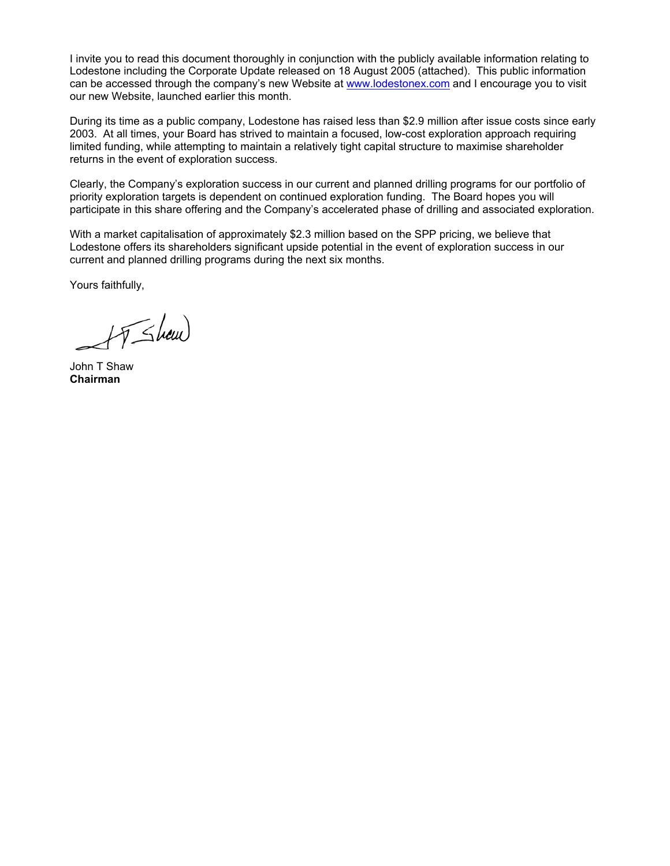I invite you to read this document thoroughly in conjunction with the publicly available information relating to Lodestone including the Corporate Update released on 18 August 2005 (attached). This public information can be accessed through the company's new Website at www.lodestonex.com and I encourage you to visit our new Website, launched earlier this month.

During its time as a public company, Lodestone has raised less than \$2.9 million after issue costs since early 2003. At all times, your Board has strived to maintain a focused, low-cost exploration approach requiring limited funding, while attempting to maintain a relatively tight capital structure to maximise shareholder returns in the event of exploration success.

Clearly, the Company's exploration success in our current and planned drilling programs for our portfolio of priority exploration targets is dependent on continued exploration funding. The Board hopes you will participate in this share offering and the Company's accelerated phase of drilling and associated exploration.

With a market capitalisation of approximately \$2.3 million based on the SPP pricing, we believe that Lodestone offers its shareholders significant upside potential in the event of exploration success in our current and planned drilling programs during the next six months.

Yours faithfully,

FJ Show

John T Shaw **Chairman**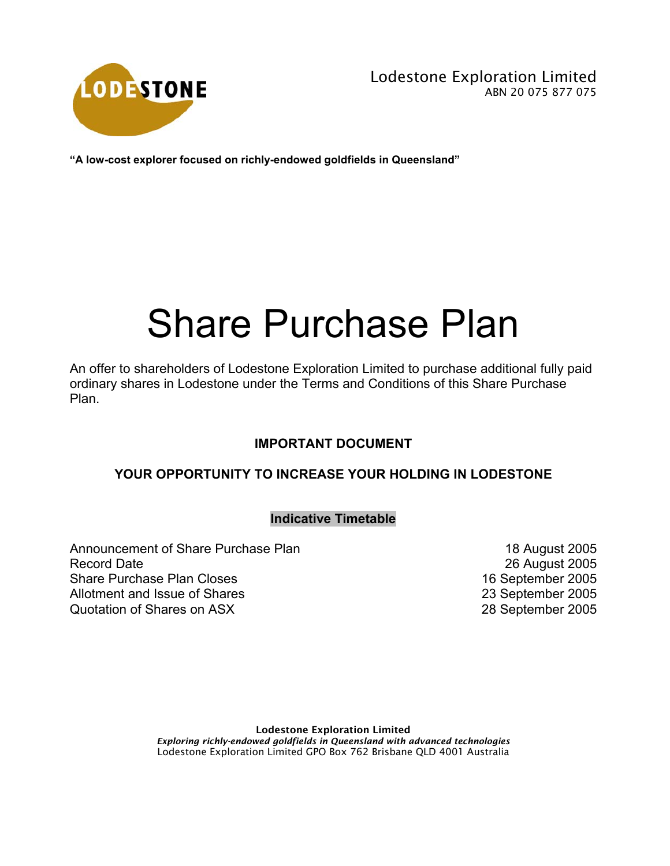

**"A low-cost explorer focused on richly-endowed goldfields in Queensland"** 

# Share Purchase Plan

An offer to shareholders of Lodestone Exploration Limited to purchase additional fully paid ordinary shares in Lodestone under the Terms and Conditions of this Share Purchase Plan.

#### **IMPORTANT DOCUMENT**

## **YOUR OPPORTUNITY TO INCREASE YOUR HOLDING IN LODESTONE**

#### **Indicative Timetable**

Announcement of Share Purchase Plan 18 August 2005 Record Date 2005 Share Purchase Plan Closes 16 September 2005 Allotment and Issue of Shares 23 September 2005 Quotation of Shares on ASX 28 September 2005

Lodestone Exploration Limited *Exploring richly-endowed goldfields in Queensland with advanced technologies* Lodestone Exploration Limited GPO Box 762 Brisbane QLD 4001 Australia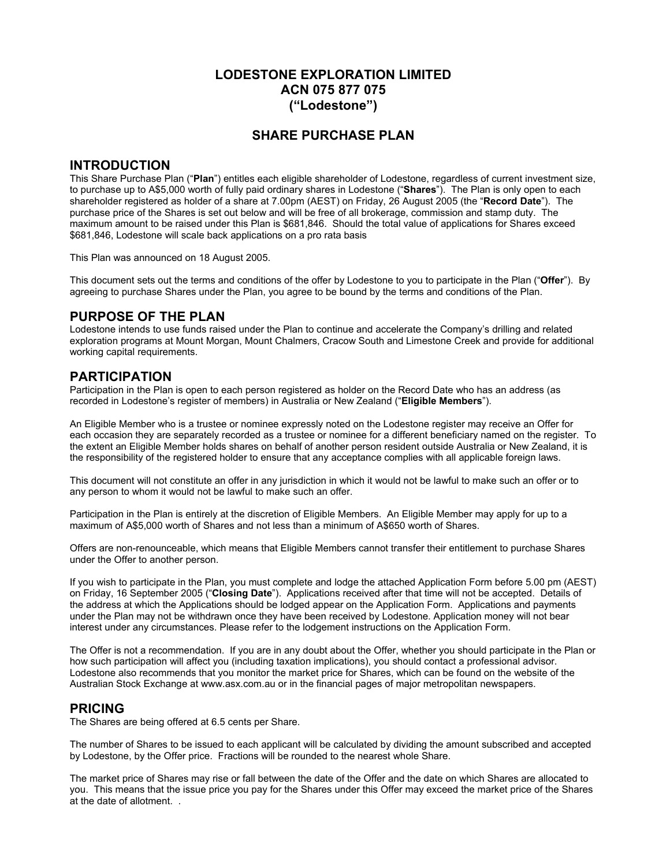#### **LODESTONE EXPLORATION LIMITED ACN 075 877 075 ("Lodestone")**

#### **SHARE PURCHASE PLAN**

#### **INTRODUCTION**

This Share Purchase Plan ("**Plan**") entitles each eligible shareholder of Lodestone, regardless of current investment size, to purchase up to A\$5,000 worth of fully paid ordinary shares in Lodestone ("**Shares**"). The Plan is only open to each shareholder registered as holder of a share at 7.00pm (AEST) on Friday, 26 August 2005 (the "**Record Date**"). The purchase price of the Shares is set out below and will be free of all brokerage, commission and stamp duty. The maximum amount to be raised under this Plan is \$681,846. Should the total value of applications for Shares exceed \$681,846, Lodestone will scale back applications on a pro rata basis

This Plan was announced on 18 August 2005.

This document sets out the terms and conditions of the offer by Lodestone to you to participate in the Plan ("**Offer**"). By agreeing to purchase Shares under the Plan, you agree to be bound by the terms and conditions of the Plan.

#### **PURPOSE OF THE PLAN**

Lodestone intends to use funds raised under the Plan to continue and accelerate the Company's drilling and related exploration programs at Mount Morgan, Mount Chalmers, Cracow South and Limestone Creek and provide for additional working capital requirements.

#### **PARTICIPATION**

Participation in the Plan is open to each person registered as holder on the Record Date who has an address (as recorded in Lodestone's register of members) in Australia or New Zealand ("**Eligible Members**").

An Eligible Member who is a trustee or nominee expressly noted on the Lodestone register may receive an Offer for each occasion they are separately recorded as a trustee or nominee for a different beneficiary named on the register. To the extent an Eligible Member holds shares on behalf of another person resident outside Australia or New Zealand, it is the responsibility of the registered holder to ensure that any acceptance complies with all applicable foreign laws.

This document will not constitute an offer in any jurisdiction in which it would not be lawful to make such an offer or to any person to whom it would not be lawful to make such an offer.

Participation in the Plan is entirely at the discretion of Eligible Members. An Eligible Member may apply for up to a maximum of A\$5,000 worth of Shares and not less than a minimum of A\$650 worth of Shares.

Offers are non-renounceable, which means that Eligible Members cannot transfer their entitlement to purchase Shares under the Offer to another person.

If you wish to participate in the Plan, you must complete and lodge the attached Application Form before 5.00 pm (AEST) on Friday, 16 September 2005 ("**Closing Date**"). Applications received after that time will not be accepted. Details of the address at which the Applications should be lodged appear on the Application Form. Applications and payments under the Plan may not be withdrawn once they have been received by Lodestone. Application money will not bear interest under any circumstances. Please refer to the lodgement instructions on the Application Form.

The Offer is not a recommendation. If you are in any doubt about the Offer, whether you should participate in the Plan or how such participation will affect you (including taxation implications), you should contact a professional advisor. Lodestone also recommends that you monitor the market price for Shares, which can be found on the website of the Australian Stock Exchange at www.asx.com.au or in the financial pages of major metropolitan newspapers.

#### **PRICING**

The Shares are being offered at 6.5 cents per Share.

The number of Shares to be issued to each applicant will be calculated by dividing the amount subscribed and accepted by Lodestone, by the Offer price. Fractions will be rounded to the nearest whole Share.

The market price of Shares may rise or fall between the date of the Offer and the date on which Shares are allocated to you. This means that the issue price you pay for the Shares under this Offer may exceed the market price of the Shares at the date of allotment. .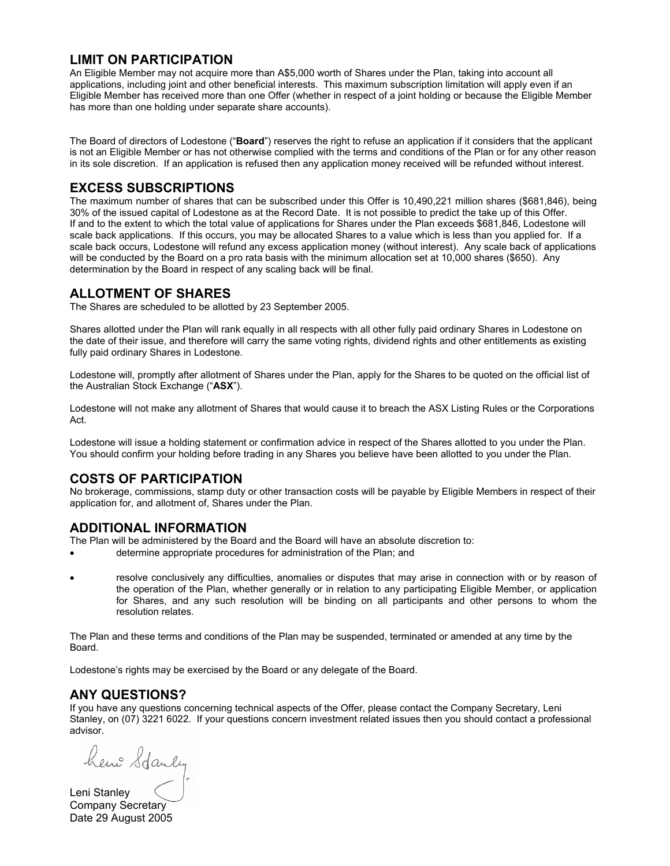#### **LIMIT ON PARTICIPATION**

An Eligible Member may not acquire more than A\$5,000 worth of Shares under the Plan, taking into account all applications, including joint and other beneficial interests. This maximum subscription limitation will apply even if an Eligible Member has received more than one Offer (whether in respect of a joint holding or because the Eligible Member has more than one holding under separate share accounts).

The Board of directors of Lodestone ("**Board**") reserves the right to refuse an application if it considers that the applicant is not an Eligible Member or has not otherwise complied with the terms and conditions of the Plan or for any other reason in its sole discretion. If an application is refused then any application money received will be refunded without interest.

## **EXCESS SUBSCRIPTIONS**

The maximum number of shares that can be subscribed under this Offer is 10,490,221 million shares (\$681,846), being 30% of the issued capital of Lodestone as at the Record Date. It is not possible to predict the take up of this Offer. If and to the extent to which the total value of applications for Shares under the Plan exceeds \$681,846, Lodestone will scale back applications. If this occurs, you may be allocated Shares to a value which is less than you applied for. If a scale back occurs, Lodestone will refund any excess application money (without interest). Any scale back of applications will be conducted by the Board on a pro rata basis with the minimum allocation set at 10,000 shares (\$650). Any determination by the Board in respect of any scaling back will be final.

#### **ALLOTMENT OF SHARES**

The Shares are scheduled to be allotted by 23 September 2005.

Shares allotted under the Plan will rank equally in all respects with all other fully paid ordinary Shares in Lodestone on the date of their issue, and therefore will carry the same voting rights, dividend rights and other entitlements as existing fully paid ordinary Shares in Lodestone.

Lodestone will, promptly after allotment of Shares under the Plan, apply for the Shares to be quoted on the official list of the Australian Stock Exchange ("**ASX**").

Lodestone will not make any allotment of Shares that would cause it to breach the ASX Listing Rules or the Corporations Act.

Lodestone will issue a holding statement or confirmation advice in respect of the Shares allotted to you under the Plan. You should confirm your holding before trading in any Shares you believe have been allotted to you under the Plan.

#### **COSTS OF PARTICIPATION**

No brokerage, commissions, stamp duty or other transaction costs will be payable by Eligible Members in respect of their application for, and allotment of, Shares under the Plan.

#### **ADDITIONAL INFORMATION**

The Plan will be administered by the Board and the Board will have an absolute discretion to:

- determine appropriate procedures for administration of the Plan; and
- resolve conclusively any difficulties, anomalies or disputes that may arise in connection with or by reason of the operation of the Plan, whether generally or in relation to any participating Eligible Member, or application for Shares, and any such resolution will be binding on all participants and other persons to whom the resolution relates.

The Plan and these terms and conditions of the Plan may be suspended, terminated or amended at any time by the Board.

Lodestone's rights may be exercised by the Board or any delegate of the Board.

#### **ANY QUESTIONS?**

If you have any questions concerning technical aspects of the Offer, please contact the Company Secretary, Leni Stanley, on (07) 3221 6022. If your questions concern investment related issues then you should contact a professional advisor.

hemo Stanly

Company Secretary Date 29 August 2005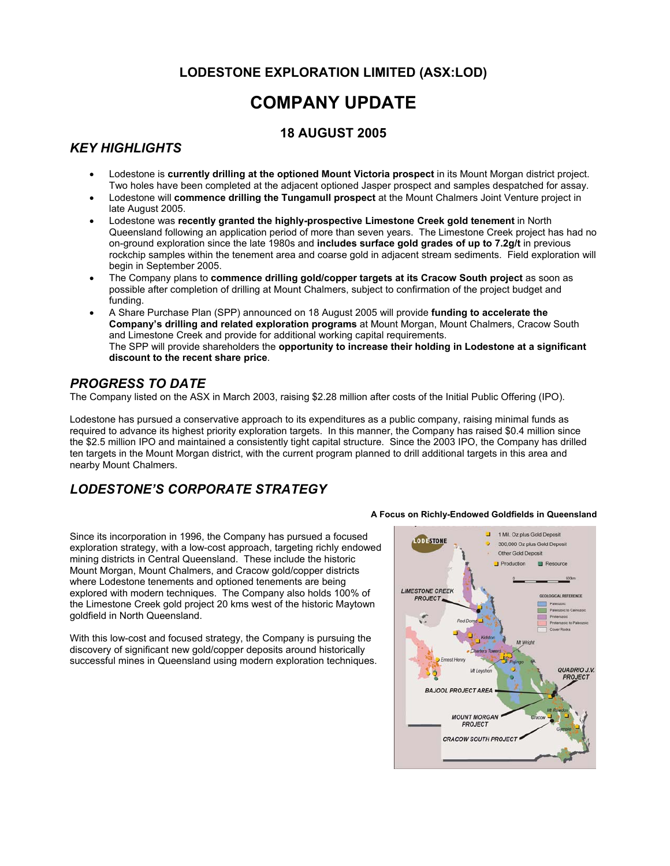## **LODESTONE EXPLORATION LIMITED (ASX:LOD)**

## **COMPANY UPDATE**

### **18 AUGUST 2005**

## *KEY HIGHLIGHTS*

- Lodestone is **currently drilling at the optioned Mount Victoria prospect** in its Mount Morgan district project. Two holes have been completed at the adjacent optioned Jasper prospect and samples despatched for assay.
- Lodestone will **commence drilling the Tungamull prospect** at the Mount Chalmers Joint Venture project in late August 2005.
- Lodestone was **recently granted the highly-prospective Limestone Creek gold tenement** in North Queensland following an application period of more than seven years. The Limestone Creek project has had no on-ground exploration since the late 1980s and **includes surface gold grades of up to 7.2g/t** in previous rockchip samples within the tenement area and coarse gold in adjacent stream sediments. Field exploration will begin in September 2005.
- The Company plans to **commence drilling gold/copper targets at its Cracow South project** as soon as possible after completion of drilling at Mount Chalmers, subject to confirmation of the project budget and funding.
- A Share Purchase Plan (SPP) announced on 18 August 2005 will provide **funding to accelerate the Company's drilling and related exploration programs** at Mount Morgan, Mount Chalmers, Cracow South and Limestone Creek and provide for additional working capital requirements. The SPP will provide shareholders the **opportunity to increase their holding in Lodestone at a significant discount to the recent share price**.

#### *PROGRESS TO DATE*

The Company listed on the ASX in March 2003, raising \$2.28 million after costs of the Initial Public Offering (IPO).

Lodestone has pursued a conservative approach to its expenditures as a public company, raising minimal funds as required to advance its highest priority exploration targets. In this manner, the Company has raised \$0.4 million since the \$2.5 million IPO and maintained a consistently tight capital structure. Since the 2003 IPO, the Company has drilled ten targets in the Mount Morgan district, with the current program planned to drill additional targets in this area and nearby Mount Chalmers.

## *LODESTONE'S CORPORATE STRATEGY*

Since its incorporation in 1996, the Company has pursued a focused exploration strategy, with a low-cost approach, targeting richly endowed mining districts in Central Queensland. These include the historic Mount Morgan, Mount Chalmers, and Cracow gold/copper districts where Lodestone tenements and optioned tenements are being explored with modern techniques. The Company also holds 100% of the Limestone Creek gold project 20 kms west of the historic Maytown goldfield in North Queensland.

With this low-cost and focused strategy, the Company is pursuing the discovery of significant new gold/copper deposits around historically successful mines in Queensland using modern exploration techniques.

#### **A Focus on Richly-Endowed Goldfields in Queensland**

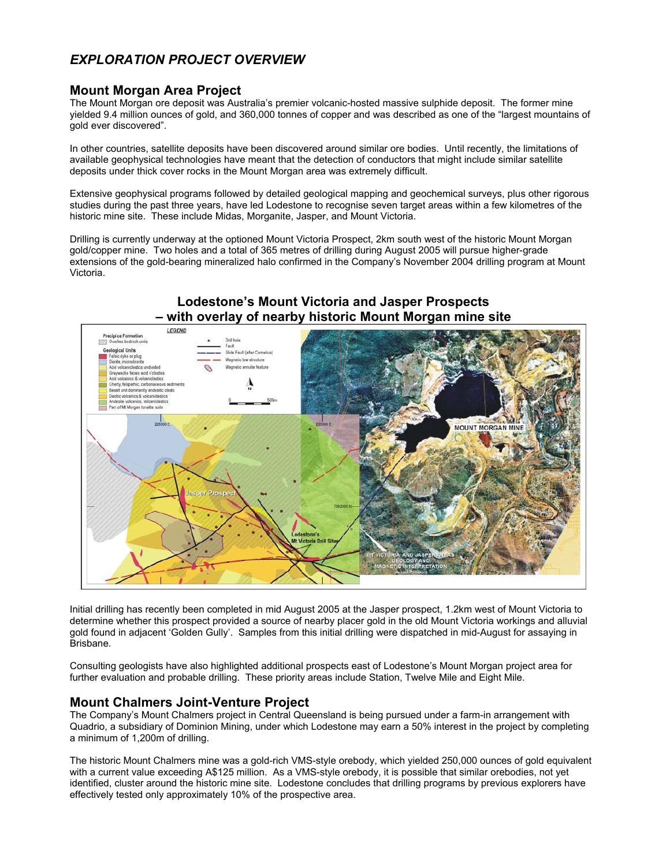## *EXPLORATION PROJECT OVERVIEW*

#### **Mount Morgan Area Project**

The Mount Morgan ore deposit was Australia's premier volcanic-hosted massive sulphide deposit. The former mine yielded 9.4 million ounces of gold, and 360,000 tonnes of copper and was described as one of the "largest mountains of gold ever discovered".

In other countries, satellite deposits have been discovered around similar ore bodies. Until recently, the limitations of available geophysical technologies have meant that the detection of conductors that might include similar satellite deposits under thick cover rocks in the Mount Morgan area was extremely difficult.

Extensive geophysical programs followed by detailed geological mapping and geochemical surveys, plus other rigorous studies during the past three years, have led Lodestone to recognise seven target areas within a few kilometres of the historic mine site. These include Midas, Morganite, Jasper, and Mount Victoria.

Drilling is currently underway at the optioned Mount Victoria Prospect, 2km south west of the historic Mount Morgan gold/copper mine. Two holes and a total of 365 metres of drilling during August 2005 will pursue higher-grade extensions of the gold-bearing mineralized halo confirmed in the Company's November 2004 drilling program at Mount Victoria.



Initial drilling has recently been completed in mid August 2005 at the Jasper prospect, 1.2km west of Mount Victoria to determine whether this prospect provided a source of nearby placer gold in the old Mount Victoria workings and alluvial gold found in adjacent 'Golden Gully'. Samples from this initial drilling were dispatched in mid-August for assaying in Brisbane.

Consulting geologists have also highlighted additional prospects east of Lodestone's Mount Morgan project area for further evaluation and probable drilling. These priority areas include Station, Twelve Mile and Eight Mile.

#### **Mount Chalmers Joint-Venture Project**

The Company's Mount Chalmers project in Central Queensland is being pursued under a farm-in arrangement with Quadrio, a subsidiary of Dominion Mining, under which Lodestone may earn a 50% interest in the project by completing a minimum of 1,200m of drilling.

The historic Mount Chalmers mine was a gold-rich VMS-style orebody, which yielded 250,000 ounces of gold equivalent with a current value exceeding A\$125 million. As a VMS-style orebody, it is possible that similar orebodies, not yet identified, cluster around the historic mine site. Lodestone concludes that drilling programs by previous explorers have effectively tested only approximately 10% of the prospective area.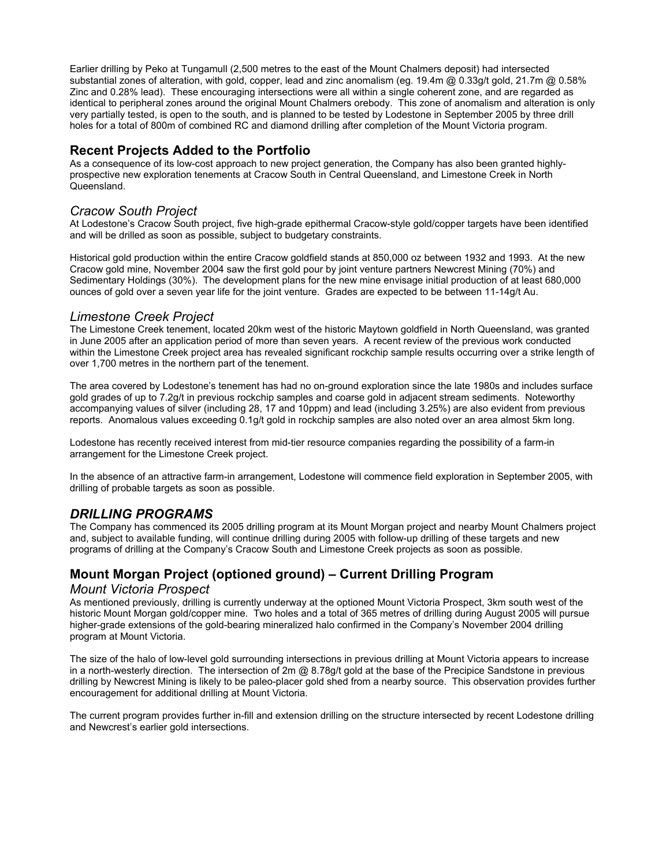Earlier drilling by Peko at Tungamull (2,500 metres to the east of the Mount Chalmers deposit) had intersected substantial zones of alteration, with gold, copper, lead and zinc anomalism (eg. 19.4m @ 0.33g/t gold, 21.7m @ 0.58% Zinc and 0.28% lead). These encouraging intersections were all within a single coherent zone, and are regarded as identical to peripheral zones around the original Mount Chalmers orebody. This zone of anomalism and alteration is only very partially tested, is open to the south, and is planned to be tested by Lodestone in September 2005 by three drill holes for a total of 800m of combined RC and diamond drilling after completion of the Mount Victoria program.

#### **Recent Projects Added to the Portfolio**

As a consequence of its low-cost approach to new project generation, the Company has also been granted highlyprospective new exploration tenements at Cracow South in Central Queensland, and Limestone Creek in North Queensland.

#### *Cracow South Project*

At Lodestone's Cracow South project, five high-grade epithermal Cracow-style gold/copper targets have been identified and will be drilled as soon as possible, subject to budgetary constraints.

Historical gold production within the entire Cracow goldfield stands at 850,000 oz between 1932 and 1993. At the new Cracow gold mine, November 2004 saw the first gold pour by joint venture partners Newcrest Mining (70%) and Sedimentary Holdings (30%). The development plans for the new mine envisage initial production of at least 680,000 ounces of gold over a seven year life for the joint venture. Grades are expected to be between 11-14g/t Au.

#### *Limestone Creek Project*

The Limestone Creek tenement, located 20km west of the historic Maytown goldfield in North Queensland, was granted in June 2005 after an application period of more than seven years. A recent review of the previous work conducted within the Limestone Creek project area has revealed significant rockchip sample results occurring over a strike length of over 1,700 metres in the northern part of the tenement.

The area covered by Lodestone's tenement has had no on-ground exploration since the late 1980s and includes surface gold grades of up to 7.2g/t in previous rockchip samples and coarse gold in adjacent stream sediments. Noteworthy accompanying values of silver (including 28, 17 and 10ppm) and lead (including 3.25%) are also evident from previous reports. Anomalous values exceeding 0.1g/t gold in rockchip samples are also noted over an area almost 5km long.

Lodestone has recently received interest from mid-tier resource companies regarding the possibility of a farm-in arrangement for the Limestone Creek project.

In the absence of an attractive farm-in arrangement, Lodestone will commence field exploration in September 2005, with drilling of probable targets as soon as possible.

#### *DRILLING PROGRAMS*

The Company has commenced its 2005 drilling program at its Mount Morgan project and nearby Mount Chalmers project and, subject to available funding, will continue drilling during 2005 with follow-up drilling of these targets and new programs of drilling at the Company's Cracow South and Limestone Creek projects as soon as possible.

## **Mount Morgan Project (optioned ground) – Current Drilling Program**

#### *Mount Victoria Prospect*

As mentioned previously, drilling is currently underway at the optioned Mount Victoria Prospect, 3km south west of the historic Mount Morgan gold/copper mine. Two holes and a total of 365 metres of drilling during August 2005 will pursue higher-grade extensions of the gold-bearing mineralized halo confirmed in the Company's November 2004 drilling program at Mount Victoria.

The size of the halo of low-level gold surrounding intersections in previous drilling at Mount Victoria appears to increase in a north-westerly direction. The intersection of  $2m \omega$  8.78g/t gold at the base of the Precipice Sandstone in previous drilling by Newcrest Mining is likely to be paleo-placer gold shed from a nearby source. This observation provides further encouragement for additional drilling at Mount Victoria.

The current program provides further in-fill and extension drilling on the structure intersected by recent Lodestone drilling and Newcrest's earlier gold intersections.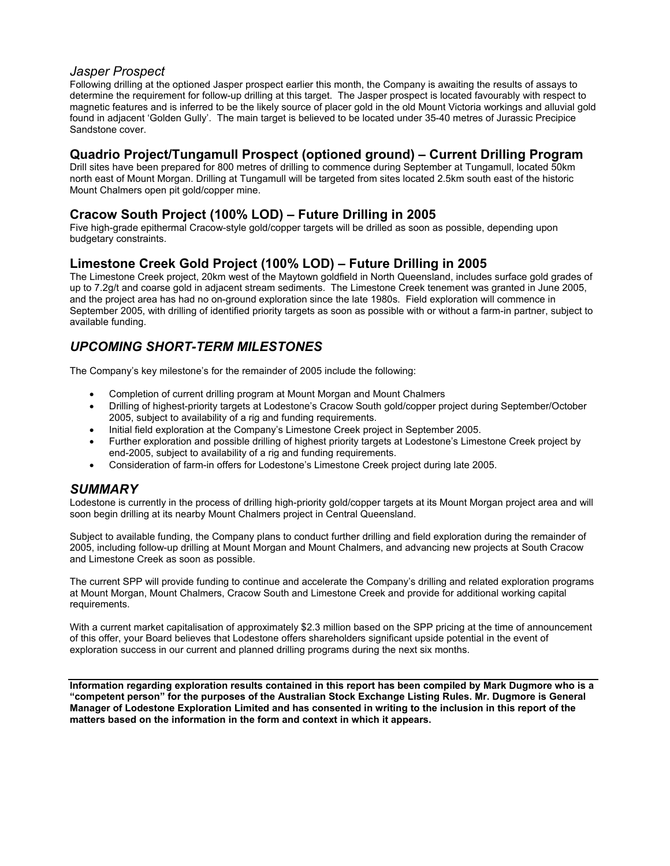#### *Jasper Prospect*

Following drilling at the optioned Jasper prospect earlier this month, the Company is awaiting the results of assays to determine the requirement for follow-up drilling at this target. The Jasper prospect is located favourably with respect to magnetic features and is inferred to be the likely source of placer gold in the old Mount Victoria workings and alluvial gold found in adjacent 'Golden Gully'. The main target is believed to be located under 35-40 metres of Jurassic Precipice Sandstone cover.

#### **Quadrio Project/Tungamull Prospect (optioned ground) – Current Drilling Program**

Drill sites have been prepared for 800 metres of drilling to commence during September at Tungamull, located 50km north east of Mount Morgan. Drilling at Tungamull will be targeted from sites located 2.5km south east of the historic Mount Chalmers open pit gold/copper mine.

#### **Cracow South Project (100% LOD) – Future Drilling in 2005**

Five high-grade epithermal Cracow-style gold/copper targets will be drilled as soon as possible, depending upon budgetary constraints.

#### **Limestone Creek Gold Project (100% LOD) – Future Drilling in 2005**

The Limestone Creek project, 20km west of the Maytown goldfield in North Queensland, includes surface gold grades of up to 7.2g/t and coarse gold in adjacent stream sediments. The Limestone Creek tenement was granted in June 2005, and the project area has had no on-ground exploration since the late 1980s. Field exploration will commence in September 2005, with drilling of identified priority targets as soon as possible with or without a farm-in partner, subject to available funding.

## *UPCOMING SHORT-TERM MILESTONES*

The Company's key milestone's for the remainder of 2005 include the following:

- Completion of current drilling program at Mount Morgan and Mount Chalmers
- Drilling of highest-priority targets at Lodestone's Cracow South gold/copper project during September/October 2005, subject to availability of a rig and funding requirements.
- Initial field exploration at the Company's Limestone Creek project in September 2005.
- Further exploration and possible drilling of highest priority targets at Lodestone's Limestone Creek project by end-2005, subject to availability of a rig and funding requirements.
- Consideration of farm-in offers for Lodestone's Limestone Creek project during late 2005.

#### *SUMMARY*

Lodestone is currently in the process of drilling high-priority gold/copper targets at its Mount Morgan project area and will soon begin drilling at its nearby Mount Chalmers project in Central Queensland.

Subject to available funding, the Company plans to conduct further drilling and field exploration during the remainder of 2005, including follow-up drilling at Mount Morgan and Mount Chalmers, and advancing new projects at South Cracow and Limestone Creek as soon as possible.

The current SPP will provide funding to continue and accelerate the Company's drilling and related exploration programs at Mount Morgan, Mount Chalmers, Cracow South and Limestone Creek and provide for additional working capital requirements.

With a current market capitalisation of approximately \$2.3 million based on the SPP pricing at the time of announcement of this offer, your Board believes that Lodestone offers shareholders significant upside potential in the event of exploration success in our current and planned drilling programs during the next six months.

**Information regarding exploration results contained in this report has been compiled by Mark Dugmore who is a "competent person" for the purposes of the Australian Stock Exchange Listing Rules. Mr. Dugmore is General Manager of Lodestone Exploration Limited and has consented in writing to the inclusion in this report of the matters based on the information in the form and context in which it appears.**